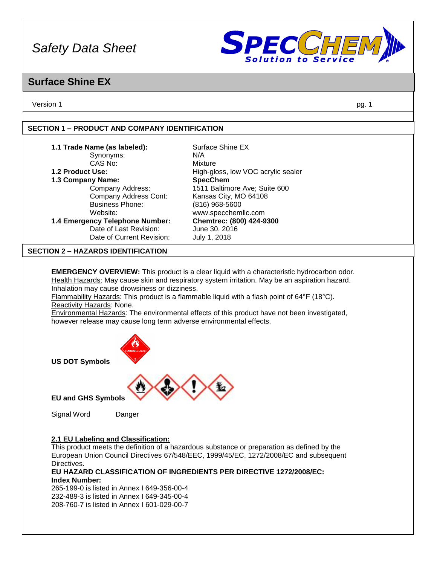

### **Surface Shine EX**

Version 1 pg. 1

### **SECTION 1 – PRODUCT AND COMPANY IDENTIFICATION**

| 1.1 Trade Name (as labeled):                                       | Surface Shine EX                                                                                  |
|--------------------------------------------------------------------|---------------------------------------------------------------------------------------------------|
| Synonyms:                                                          | N/A                                                                                               |
| CAS No:                                                            | Mixture                                                                                           |
| 1.2 Product Use:                                                   | High-gloss, low VOC acrylic sealer                                                                |
| 1.3 Company Name:                                                  | <b>SpecChem</b>                                                                                   |
| Company Address:                                                   | 1511 Baltimore Ave; Suite 600                                                                     |
| Company Address Cont:                                              | Kansas City, MO 64108                                                                             |
| <b>Business Phone:</b>                                             | (816) 968-5600                                                                                    |
| Website:                                                           | www.specchemllc.com                                                                               |
| 1.4 Emergency Telephone Number:                                    | Chemtrec: (800) 424-9300                                                                          |
| Date of Last Revision:                                             | June 30, 2016                                                                                     |
| Date of Current Revision:                                          | July 1, 2018                                                                                      |
| <b>SECTION 2 - HAZARDS IDENTIFICATION</b>                          |                                                                                                   |
|                                                                    |                                                                                                   |
|                                                                    | <b>EMERGENCY OVERVIEW:</b> This product is a clear liquid with a characteristic hydrocarbon odor. |
|                                                                    | Health Hazards: May cause skin and respiratory system irritation. May be an aspiration hazard.    |
| Inhalation may cause drowsiness or dizziness.                      |                                                                                                   |
|                                                                    | Flammability Hazards: This product is a flammable liquid with a flash point of 64°F (18°C).       |
| Reactivity Hazards: None.                                          |                                                                                                   |
|                                                                    | Environmental Hazards: The environmental effects of this product have not been investigated,      |
| however release may cause long term adverse environmental effects. |                                                                                                   |
|                                                                    |                                                                                                   |
| <b>US DOT Symbols</b>                                              |                                                                                                   |

**US DOT Symbols**



**EU and GHS Symbols**

Signal Word Danger

### **2.1 EU Labeling and Classification:**

This product meets the definition of a hazardous substance or preparation as defined by the European Union Council Directives 67/548/EEC, 1999/45/EC, 1272/2008/EC and subsequent Directives.

**EU HAZARD CLASSIFICATION OF INGREDIENTS PER DIRECTIVE 1272/2008/EC: Index Number:**

265-199-0 is listed in Annex I 649-356-00-4 232-489-3 is listed in Annex I 649-345-00-4 208-760-7 is listed in Annex I 601-029-00-7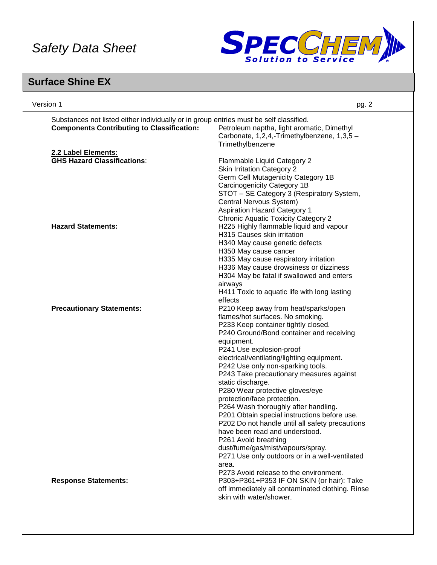

# **Surface Shine EX**

| Version 1                                                                                                                                                                                                                                                                                                                                                                                                                                                                                                                                                                                                                                                                                                                                                                       | pg. 2 |
|---------------------------------------------------------------------------------------------------------------------------------------------------------------------------------------------------------------------------------------------------------------------------------------------------------------------------------------------------------------------------------------------------------------------------------------------------------------------------------------------------------------------------------------------------------------------------------------------------------------------------------------------------------------------------------------------------------------------------------------------------------------------------------|-------|
| Substances not listed either individually or in group entries must be self classified.<br><b>Components Contributing to Classification:</b><br>Petroleum naptha, light aromatic, Dimethyl<br>Carbonate, 1,2,4,-Trimethylbenzene, 1,3,5 -<br>Trimethylbenzene                                                                                                                                                                                                                                                                                                                                                                                                                                                                                                                    |       |
| 2.2 Label Elements:<br><b>GHS Hazard Classifications:</b><br>Flammable Liquid Category 2<br><b>Skin Irritation Category 2</b><br>Germ Cell Mutagenicity Category 1B<br>Carcinogenicity Category 1B<br>STOT - SE Category 3 (Respiratory System,<br>Central Nervous System)<br><b>Aspiration Hazard Category 1</b>                                                                                                                                                                                                                                                                                                                                                                                                                                                               |       |
| <b>Chronic Aquatic Toxicity Category 2</b><br>H225 Highly flammable liquid and vapour<br><b>Hazard Statements:</b><br>H315 Causes skin irritation<br>H340 May cause genetic defects<br>H350 May cause cancer<br>H335 May cause respiratory irritation<br>H336 May cause drowsiness or dizziness<br>H304 May be fatal if swallowed and enters<br>airways<br>H411 Toxic to aquatic life with long lasting                                                                                                                                                                                                                                                                                                                                                                         |       |
| effects<br><b>Precautionary Statements:</b><br>P210 Keep away from heat/sparks/open<br>flames/hot surfaces. No smoking.<br>P233 Keep container tightly closed.<br>P240 Ground/Bond container and receiving<br>equipment.<br>P241 Use explosion-proof<br>electrical/ventilating/lighting equipment.<br>P242 Use only non-sparking tools.<br>P243 Take precautionary measures against<br>static discharge.<br>P280 Wear protective gloves/eye<br>protection/face protection.<br>P264 Wash thoroughly after handling.<br>P201 Obtain special instructions before use.<br>P202 Do not handle until all safety precautions<br>have been read and understood.<br>P261 Avoid breathing<br>dust/fume/gas/mist/vapours/spray.<br>P271 Use only outdoors or in a well-ventilated<br>area. |       |
| P273 Avoid release to the environment.<br>P303+P361+P353 IF ON SKIN (or hair): Take<br><b>Response Statements:</b><br>off immediately all contaminated clothing. Rinse<br>skin with water/shower.                                                                                                                                                                                                                                                                                                                                                                                                                                                                                                                                                                               |       |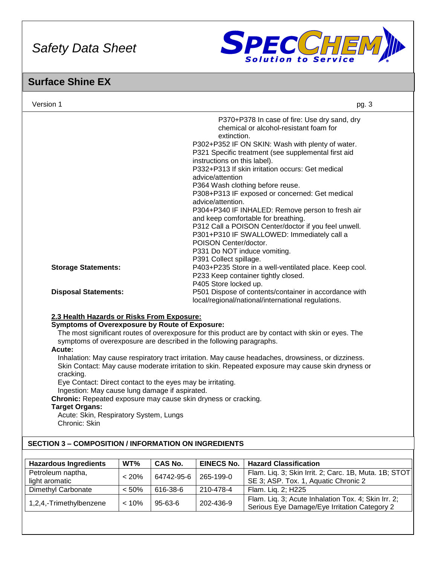

### **Surface Shine EX**

| Version 1                                                               |       |                |                                                    | pg. 3                                                                                              |  |  |
|-------------------------------------------------------------------------|-------|----------------|----------------------------------------------------|----------------------------------------------------------------------------------------------------|--|--|
|                                                                         |       |                | extinction.                                        | P370+P378 In case of fire: Use dry sand, dry<br>chemical or alcohol-resistant foam for             |  |  |
|                                                                         |       |                | P302+P352 IF ON SKIN: Wash with plenty of water.   |                                                                                                    |  |  |
|                                                                         |       |                |                                                    | P321 Specific treatment (see supplemental first aid                                                |  |  |
|                                                                         |       |                | instructions on this label).                       | P332+P313 If skin irritation occurs: Get medical                                                   |  |  |
|                                                                         |       |                | advice/attention                                   |                                                                                                    |  |  |
|                                                                         |       |                |                                                    | P364 Wash clothing before reuse.                                                                   |  |  |
|                                                                         |       |                | P308+P313 IF exposed or concerned: Get medical     |                                                                                                    |  |  |
|                                                                         |       |                | advice/attention.                                  |                                                                                                    |  |  |
|                                                                         |       |                |                                                    | P304+P340 IF INHALED: Remove person to fresh air                                                   |  |  |
|                                                                         |       |                |                                                    | and keep comfortable for breathing.                                                                |  |  |
|                                                                         |       |                |                                                    | P312 Call a POISON Center/doctor if you feel unwell.                                               |  |  |
|                                                                         |       |                | POISON Center/doctor.                              | P301+P310 IF SWALLOWED: Immediately call a                                                         |  |  |
|                                                                         |       |                | P331 Do NOT induce vomiting.                       |                                                                                                    |  |  |
|                                                                         |       |                | P391 Collect spillage.                             |                                                                                                    |  |  |
| <b>Storage Statements:</b>                                              |       |                |                                                    | P403+P235 Store in a well-ventilated place. Keep cool.                                             |  |  |
|                                                                         |       |                |                                                    | P233 Keep container tightly closed.                                                                |  |  |
|                                                                         |       |                | P405 Store locked up.                              |                                                                                                    |  |  |
| <b>Disposal Statements:</b>                                             |       |                |                                                    | P501 Dispose of contents/container in accordance with                                              |  |  |
|                                                                         |       |                | local/regional/national/international regulations. |                                                                                                    |  |  |
| 2.3 Health Hazards or Risks From Exposure:                              |       |                |                                                    |                                                                                                    |  |  |
| <b>Symptoms of Overexposure by Route of Exposure:</b>                   |       |                |                                                    |                                                                                                    |  |  |
|                                                                         |       |                |                                                    | The most significant routes of overexposure for this product are by contact with skin or eyes. The |  |  |
| symptoms of overexposure are described in the following paragraphs.     |       |                |                                                    |                                                                                                    |  |  |
| Acute:                                                                  |       |                |                                                    |                                                                                                    |  |  |
|                                                                         |       |                |                                                    | Inhalation: May cause respiratory tract irritation. May cause headaches, drowsiness, or dizziness. |  |  |
|                                                                         |       |                |                                                    | Skin Contact: May cause moderate irritation to skin. Repeated exposure may cause skin dryness or   |  |  |
| cracking.<br>Eye Contact: Direct contact to the eyes may be irritating. |       |                |                                                    |                                                                                                    |  |  |
| Ingestion: May cause lung damage if aspirated.                          |       |                |                                                    |                                                                                                    |  |  |
| Chronic: Repeated exposure may cause skin dryness or cracking.          |       |                |                                                    |                                                                                                    |  |  |
| <b>Target Organs:</b>                                                   |       |                |                                                    |                                                                                                    |  |  |
| Acute: Skin, Respiratory System, Lungs                                  |       |                |                                                    |                                                                                                    |  |  |
| Chronic: Skin                                                           |       |                |                                                    |                                                                                                    |  |  |
|                                                                         |       |                |                                                    |                                                                                                    |  |  |
| <b>SECTION 3 - COMPOSITION / INFORMATION ON INGREDIENTS</b>             |       |                |                                                    |                                                                                                    |  |  |
| <b>Hazardous Ingredients</b>                                            | WT%   | <b>CAS No.</b> | <b>EINECS No.</b>                                  | <b>Hazard Classification</b>                                                                       |  |  |
| Petroleum naptha,                                                       |       |                |                                                    | Flam. Liq. 3; Skin Irrit. 2; Carc. 1B, Muta. 1B; STOT                                              |  |  |
| light aromatic                                                          | < 20% | 64742-95-6     | 265-199-0                                          | SE 3; ASP. Tox. 1, Aquatic Chronic 2                                                               |  |  |
| Dimethyl Carbonate                                                      | < 50% | 616-38-6       | 210-478-4                                          | Flam. Liq. 2; H225                                                                                 |  |  |
|                                                                         |       |                |                                                    | Flam. Liq. 3; Acute Inhalation Tox. 4; Skin Irr. 2;                                                |  |  |
| 1,2,4,-Trimethylbenzene                                                 | < 10% | 95-63-6        | 202-436-9                                          | Serious Eye Damage/Eye Irritation Category 2                                                       |  |  |
|                                                                         |       |                |                                                    |                                                                                                    |  |  |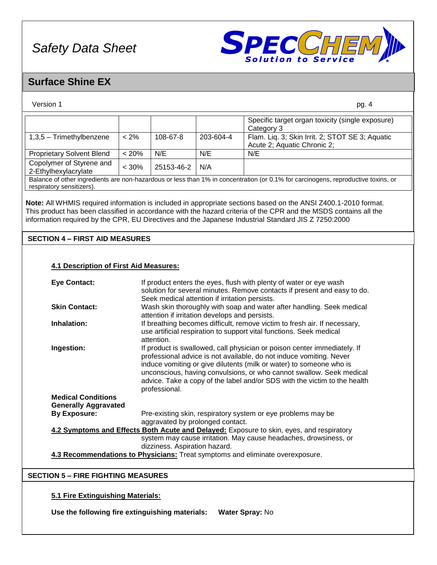

### **Surface Shine EX**

| Version 1                                                                                |                                                                                                                                                 |                                                                                                                                                                |           | pg. 4                                                                                                                                                                                                                                                                                                                                     |  |
|------------------------------------------------------------------------------------------|-------------------------------------------------------------------------------------------------------------------------------------------------|----------------------------------------------------------------------------------------------------------------------------------------------------------------|-----------|-------------------------------------------------------------------------------------------------------------------------------------------------------------------------------------------------------------------------------------------------------------------------------------------------------------------------------------------|--|
|                                                                                          |                                                                                                                                                 |                                                                                                                                                                |           | Specific target organ toxicity (single exposure)<br>Category 3                                                                                                                                                                                                                                                                            |  |
| 1,3,5 - Trimethylbenzene                                                                 | $< 2\%$                                                                                                                                         | 108-67-8                                                                                                                                                       | 203-604-4 | Flam. Liq. 3; Skin Irrit. 2; STOT SE 3; Aquatic<br>Acute 2; Aquatic Chronic 2;                                                                                                                                                                                                                                                            |  |
| <b>Proprietary Solvent Blend</b>                                                         | < 20%                                                                                                                                           | N/E                                                                                                                                                            | N/E       | N/E                                                                                                                                                                                                                                                                                                                                       |  |
| Copolymer of Styrene and<br>2-Ethylhexylacrylate                                         | $< 30\%$                                                                                                                                        | 25153-46-2                                                                                                                                                     | N/A       |                                                                                                                                                                                                                                                                                                                                           |  |
| respiratory sensitizers).                                                                |                                                                                                                                                 |                                                                                                                                                                |           | Balance of other ingredients are non-hazardous or less than 1% in concentration (or 0.1% for carcinogens, reproductive toxins, or                                                                                                                                                                                                         |  |
|                                                                                          |                                                                                                                                                 |                                                                                                                                                                |           | Note: All WHMIS required information is included in appropriate sections based on the ANSI Z400.1-2010 format.<br>This product has been classified in accordance with the hazard criteria of the CPR and the MSDS contains all the<br>information required by the CPR, EU Directives and the Japanese Industrial Standard JIS Z 7250:2000 |  |
| <b>SECTION 4 - FIRST AID MEASURES</b>                                                    |                                                                                                                                                 |                                                                                                                                                                |           |                                                                                                                                                                                                                                                                                                                                           |  |
| <b>4.1 Description of First Aid Measures:</b><br><b>Eye Contact:</b>                     |                                                                                                                                                 |                                                                                                                                                                |           | If product enters the eyes, flush with plenty of water or eye wash                                                                                                                                                                                                                                                                        |  |
|                                                                                          |                                                                                                                                                 | solution for several minutes. Remove contacts if present and easy to do.<br>Seek medical attention if irritation persists.                                     |           |                                                                                                                                                                                                                                                                                                                                           |  |
| <b>Skin Contact:</b>                                                                     |                                                                                                                                                 | Wash skin thoroughly with soap and water after handling. Seek medical<br>attention if irritation develops and persists.                                        |           |                                                                                                                                                                                                                                                                                                                                           |  |
| Inhalation:                                                                              |                                                                                                                                                 | If breathing becomes difficult, remove victim to fresh air. If necessary,<br>use artificial respiration to support vital functions. Seek medical<br>attention. |           |                                                                                                                                                                                                                                                                                                                                           |  |
| Ingestion:                                                                               | If product is swallowed, call physician or poison center immediately. If<br>professional advice is not available, do not induce vomiting. Never |                                                                                                                                                                |           |                                                                                                                                                                                                                                                                                                                                           |  |
|                                                                                          | induce vomiting or give dilutents (milk or water) to someone who is                                                                             |                                                                                                                                                                |           |                                                                                                                                                                                                                                                                                                                                           |  |
|                                                                                          |                                                                                                                                                 | unconscious, having convulsions, or who cannot swallow. Seek medical<br>advice. Take a copy of the label and/or SDS with the victim to the health              |           |                                                                                                                                                                                                                                                                                                                                           |  |
| professional.<br><b>Medical Conditions</b><br><b>Generally Aggravated</b>                |                                                                                                                                                 |                                                                                                                                                                |           |                                                                                                                                                                                                                                                                                                                                           |  |
| <b>By Exposure:</b>                                                                      |                                                                                                                                                 | Pre-existing skin, respiratory system or eye problems may be<br>aggravated by prolonged contact.                                                               |           |                                                                                                                                                                                                                                                                                                                                           |  |
| 4.2 Symptoms and Effects Both Acute and Delayed: Exposure to skin, eyes, and respiratory |                                                                                                                                                 |                                                                                                                                                                |           |                                                                                                                                                                                                                                                                                                                                           |  |
|                                                                                          | system may cause irritation. May cause headaches, drowsiness, or                                                                                |                                                                                                                                                                |           |                                                                                                                                                                                                                                                                                                                                           |  |
|                                                                                          | dizziness. Aspiration hazard.<br>4.3 Recommendations to Physicians: Treat symptoms and eliminate overexposure.                                  |                                                                                                                                                                |           |                                                                                                                                                                                                                                                                                                                                           |  |
|                                                                                          |                                                                                                                                                 |                                                                                                                                                                |           |                                                                                                                                                                                                                                                                                                                                           |  |
| <b>SECTION 5 - FIRE FIGHTING MEASURES</b>                                                |                                                                                                                                                 |                                                                                                                                                                |           |                                                                                                                                                                                                                                                                                                                                           |  |
| 5.1 Fire Extinguishing Materials:                                                        |                                                                                                                                                 |                                                                                                                                                                |           |                                                                                                                                                                                                                                                                                                                                           |  |

**Use the following fire extinguishing materials: Water Spray:** No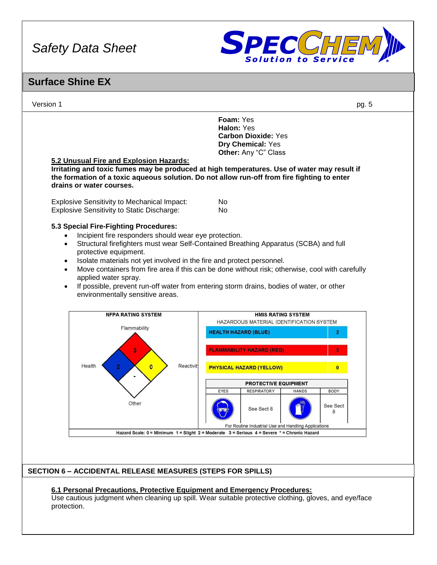

### **Surface Shine EX**

Version 1 pg. 5 **Foam:** Yes **Halon:** Yes **Carbon Dioxide:** Yes **Dry Chemical:** Yes **Other:** Any "C" Class **5.2 Unusual Fire and Explosion Hazards: Irritating and toxic fumes may be produced at high temperatures. Use of water may result if the formation of a toxic aqueous solution. Do not allow run-off from fire fighting to enter drains or water courses.** Explosive Sensitivity to Mechanical Impact: No Explosive Sensitivity to Static Discharge: No **5.3 Special Fire-Fighting Procedures:** • Incipient fire responders should wear eye protection. • Structural firefighters must wear Self-Contained Breathing Apparatus (SCBA) and full protective equipment. • Isolate materials not yet involved in the fire and protect personnel. • Move containers from fire area if this can be done without risk; otherwise, cool with carefully applied water spray. • If possible, prevent run-off water from entering storm drains, bodies of water, or other environmentally sensitive areas. **NFPA RATING SYSTEM HMIS RATING SYSTEM** HAZARDOUS MATERIAL IDENTIFICATION SYSTEM Flammability **HEALTH HAZARD (BLUE) FLAMMABILITY HAZARD (RED)** Health Reactivit;  $\overline{0}$ **PHYSICAL HAZARD (YELLOW)**  $\mathbf{0}$ **PROTECTIVE EQUIPMENT RESPIRATORY BODY** EYES **HANDS** Other See Sect See Sect 8  $\mathsf{R}$ For Routine Industrial Use and Handling Applications Hazard Scale: 0 = Minimum 1 = Slight 2 = Moderate 3 = Serious 4 = Severe \* = Chronic Hazard

### **SECTION 6 – ACCIDENTAL RELEASE MEASURES (STEPS FOR SPILLS)**

### **6.1 Personal Precautions, Protective Equipment and Emergency Procedures:**

Use cautious judgment when cleaning up spill. Wear suitable protective clothing, gloves, and eye/face protection.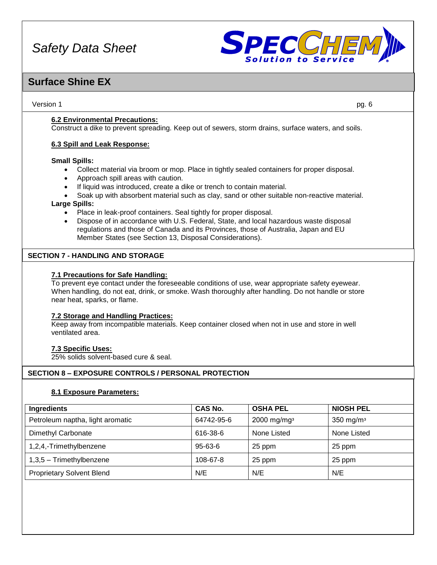

### **Surface Shine EX**

Version 1 pg. 6

**6.2 Environmental Precautions:**

Construct a dike to prevent spreading. Keep out of sewers, storm drains, surface waters, and soils.

#### **6.3 Spill and Leak Response:**

#### **Small Spills:**

- Collect material via broom or mop. Place in tightly sealed containers for proper disposal.
- Approach spill areas with caution.
- If liquid was introduced, create a dike or trench to contain material.
- Soak up with absorbent material such as clay, sand or other suitable non-reactive material.

#### **Large Spills:**

- Place in leak-proof containers. Seal tightly for proper disposal.
- Dispose of in accordance with U.S. Federal, State, and local hazardous waste disposal regulations and those of Canada and its Provinces, those of Australia, Japan and EU Member States (see Section 13, Disposal Considerations).

#### **SECTION 7 - HANDLING AND STORAGE**

#### **7.1 Precautions for Safe Handling:**

To prevent eye contact under the foreseeable conditions of use, wear appropriate safety eyewear. When handling, do not eat, drink, or smoke. Wash thoroughly after handling. Do not handle or store near heat, sparks, or flame.

#### **7.2 Storage and Handling Practices:**

Keep away from incompatible materials. Keep container closed when not in use and store in well ventilated area.

#### **7.3 Specific Uses:**

25% solids solvent-based cure & seal.

### **SECTION 8 – EXPOSURE CONTROLS / PERSONAL PROTECTION**

#### **8.1 Exposure Parameters:**

| Ingredients                      | <b>CAS No.</b> | <b>OSHA PEL</b>           | <b>NIOSH PEL</b> |
|----------------------------------|----------------|---------------------------|------------------|
| Petroleum naptha, light aromatic | 64742-95-6     | $2000$ mg/mg <sup>3</sup> | 350 mg/m $3$     |
| Dimethyl Carbonate               | 616-38-6       | None Listed               | None Listed      |
| 1,2,4,-Trimethylbenzene          | $95 - 63 - 6$  | 25 ppm                    | 25 ppm           |
| $1,3,5$ – Trimethylbenzene       | 108-67-8       | 25 ppm                    | 25 ppm           |
| <b>Proprietary Solvent Blend</b> | N/E            | N/E                       | N/E              |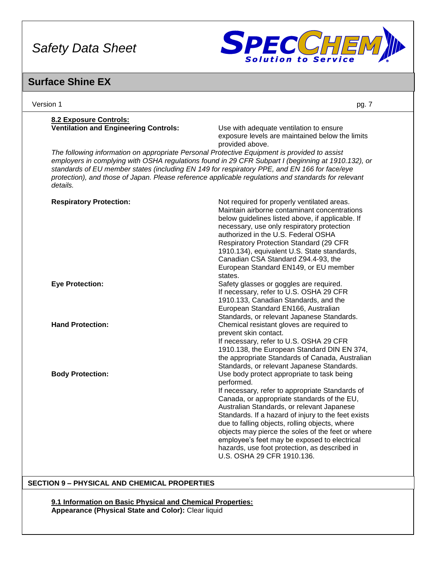

### **Surface Shine EX**

| Version 1                                                                                                                                                                                                                                                                                                                                                                                                             | pg. 7                                                                                                                                                                                                                                                                                                                                                                                                                                                                                                 |
|-----------------------------------------------------------------------------------------------------------------------------------------------------------------------------------------------------------------------------------------------------------------------------------------------------------------------------------------------------------------------------------------------------------------------|-------------------------------------------------------------------------------------------------------------------------------------------------------------------------------------------------------------------------------------------------------------------------------------------------------------------------------------------------------------------------------------------------------------------------------------------------------------------------------------------------------|
| 8.2 Exposure Controls:<br><b>Ventilation and Engineering Controls:</b>                                                                                                                                                                                                                                                                                                                                                | Use with adequate ventilation to ensure<br>exposure levels are maintained below the limits<br>provided above.                                                                                                                                                                                                                                                                                                                                                                                         |
| The following information on appropriate Personal Protective Equipment is provided to assist<br>employers in complying with OSHA regulations found in 29 CFR Subpart I (beginning at 1910.132), or<br>standards of EU member states (including EN 149 for respiratory PPE, and EN 166 for face/eye<br>protection), and those of Japan. Please reference applicable regulations and standards for relevant<br>details. |                                                                                                                                                                                                                                                                                                                                                                                                                                                                                                       |
| <b>Respiratory Protection:</b>                                                                                                                                                                                                                                                                                                                                                                                        | Not required for properly ventilated areas.<br>Maintain airborne contaminant concentrations<br>below guidelines listed above, if applicable. If<br>necessary, use only respiratory protection<br>authorized in the U.S. Federal OSHA<br><b>Respiratory Protection Standard (29 CFR</b><br>1910.134), equivalent U.S. State standards,<br>Canadian CSA Standard Z94.4-93, the<br>European Standard EN149, or EU member<br>states.                                                                      |
| <b>Eye Protection:</b>                                                                                                                                                                                                                                                                                                                                                                                                | Safety glasses or goggles are required.<br>If necessary, refer to U.S. OSHA 29 CFR<br>1910.133, Canadian Standards, and the<br>European Standard EN166, Australian<br>Standards, or relevant Japanese Standards.                                                                                                                                                                                                                                                                                      |
| <b>Hand Protection:</b>                                                                                                                                                                                                                                                                                                                                                                                               | Chemical resistant gloves are required to<br>prevent skin contact.<br>If necessary, refer to U.S. OSHA 29 CFR<br>1910.138, the European Standard DIN EN 374,<br>the appropriate Standards of Canada, Australian<br>Standards, or relevant Japanese Standards.                                                                                                                                                                                                                                         |
| <b>Body Protection:</b>                                                                                                                                                                                                                                                                                                                                                                                               | Use body protect appropriate to task being<br>performed.<br>If necessary, refer to appropriate Standards of<br>Canada, or appropriate standards of the EU,<br>Australian Standards, or relevant Japanese<br>Standards. If a hazard of injury to the feet exists<br>due to falling objects, rolling objects, where<br>objects may pierce the soles of the feet or where<br>employee's feet may be exposed to electrical<br>hazards, use foot protection, as described in<br>U.S. OSHA 29 CFR 1910.136. |

### **SECTION 9 – PHYSICAL AND CHEMICAL PROPERTIES**

**9.1 Information on Basic Physical and Chemical Properties: Appearance (Physical State and Color):** Clear liquid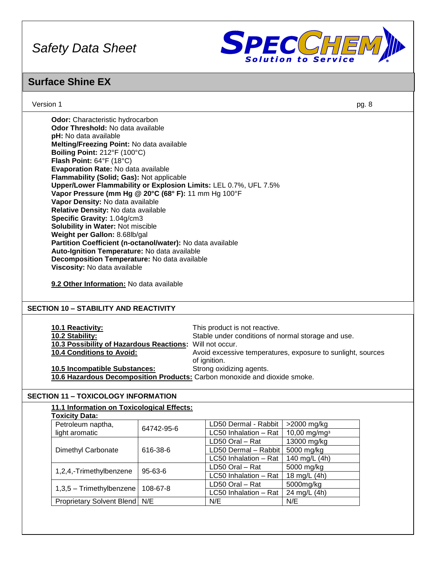

### **Surface Shine EX**

Version 1 pg. 8

| <b>Odor:</b> Characteristic hydrocarbon                          |
|------------------------------------------------------------------|
| Odor Threshold: No data available                                |
| pH: No data available                                            |
| Melting/Freezing Point: No data available                        |
| Boiling Point: 212°F (100°C)                                     |
| <b>Flash Point:</b> $64^{\circ}F$ (18 $^{\circ}C$ )              |
| Evaporation Rate: No data available                              |
| Flammability (Solid; Gas): Not applicable                        |
| Upper/Lower Flammability or Explosion Limits: LEL 0.7%, UFL 7.5% |
| Vapor Pressure (mm Hg @ 20°C (68° F): 11 mm Hg 100°F             |
| Vapor Density: No data available                                 |
| Relative Density: No data available                              |
| Specific Gravity: 1.04g/cm3                                      |
| <b>Solubility in Water: Not miscible</b>                         |
| Weight per Gallon: 8.68lb/gal                                    |
| Partition Coefficient (n-octanol/water): No data available       |
| Auto-Ignition Temperature: No data available                     |
| Decomposition Temperature: No data available                     |
| Viscosity: No data available                                     |
|                                                                  |

**9.2 Other Information:** No data available

### **SECTION 10 – STABILITY AND REACTIVITY**

| <b>10.1 Reactivity:</b><br>10.2 Stability:<br>10.3 Possibility of Hazardous Reactions: Will not occur.<br><b>10.4 Conditions to Avoid:</b> | This product is not reactive.<br>Stable under conditions of normal storage and use.<br>Avoid excessive temperatures, exposure to sunlight, sources |
|--------------------------------------------------------------------------------------------------------------------------------------------|----------------------------------------------------------------------------------------------------------------------------------------------------|
|                                                                                                                                            | of ignition.                                                                                                                                       |
| <b>10.5 Incompatible Substances:</b>                                                                                                       | Strong oxidizing agents.                                                                                                                           |
| 10.6 Hazardous Decomposition Products: Carbon monoxide and dioxide smoke.                                                                  |                                                                                                                                                    |

### **SECTION 11 – TOXICOLOGY INFORMATION**

| 11.1 Information on Toxicological Effects: |            |                       |                          |
|--------------------------------------------|------------|-----------------------|--------------------------|
| <b>Toxicity Data:</b>                      |            |                       |                          |
| Petroleum naptha,                          | 64742-95-6 | LD50 Dermal - Rabbit  | $>2000$ mg/kg            |
| light aromatic                             |            | LC50 Inhalation - Rat | 10,00 mg/mg <sup>3</sup> |
|                                            |            | LD50 Oral - Rat       | 13000 mg/kg              |
| Dimethyl Carbonate                         | 616-38-6   | LD50 Dermal - Rabbit  | 5000 mg/kg               |
|                                            |            | LC50 Inhalation - Rat | 140 mg/L (4h)            |
| $95 - 63 - 6$<br>1,2,4,-Trimethylbenzene   |            | LD50 Oral - Rat       | 5000 mg/kg               |
|                                            |            | LC50 Inhalation - Rat | 18 mg/L (4h)             |
| $1,3,5$ – Trimethylbenzene                 | 108-67-8   | LD50 Oral - Rat       | 5000mg/kg                |
|                                            |            | LC50 Inhalation - Rat | 24 mg/L (4h)             |
| Proprietary Solvent Blend N/E              |            | N/E                   | N/E                      |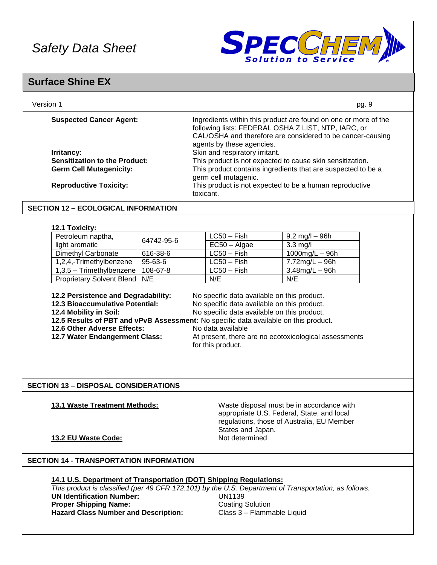

### **Surface Shine EX**

| Version 1                            | pg. 9                                                                                                                                                                                                             |
|--------------------------------------|-------------------------------------------------------------------------------------------------------------------------------------------------------------------------------------------------------------------|
| <b>Suspected Cancer Agent:</b>       | Ingredients within this product are found on one or more of the<br>following lists: FEDERAL OSHA Z LIST, NTP, IARC, or<br>CAL/OSHA and therefore are considered to be cancer-causing<br>agents by these agencies. |
| <b>Irritancy:</b>                    | Skin and respiratory irritant.                                                                                                                                                                                    |
| <b>Sensitization to the Product:</b> | This product is not expected to cause skin sensitization.                                                                                                                                                         |
| <b>Germ Cell Mutagenicity:</b>       | This product contains ingredients that are suspected to be a<br>germ cell mutagenic.                                                                                                                              |
| <b>Reproductive Toxicity:</b>        | This product is not expected to be a human reproductive<br>toxicant.                                                                                                                                              |

### **SECTION 12 – ECOLOGICAL INFORMATION**

#### **12.1 Toxicity:**

| Petroleum naptha,                      | 64742-95-6 | $LC50 - Fish$  | $9.2 \text{ mg/l} - 96 \text{h}$ |
|----------------------------------------|------------|----------------|----------------------------------|
| light aromatic                         |            | $EC50 - Algae$ | $3.3 \text{ mg/l}$               |
| Dimethyl Carbonate                     | 616-38-6   | $LC50 - Fish$  | 1000 $mg/L - 96h$                |
| 1,2,4,-Trimethylbenzene                | 95-63-6    | $LC50 - Fish$  | 7.72mg/L - 96h                   |
| $1,3,5$ – Trimethylbenzene   108-67-8  |            | $LC50 - Fish$  | $3.48$ mg/L $-96$ h              |
| <b>Proprietary Solvent Blend   N/E</b> |            | N/E            | N/E                              |

**12.2 Persistence and Degradability:** No specific data available on this product.

**12.3 Bioaccumulative Potential: No specific data available on this product.**<br>**12.4 Mobility in Soil: No specific data available on this product.** No specific data available on this product.

**12.5 Results of PBT and vPvB Assessment:** No specific data available on this product.

- **12.6 Other Adverse Effects:** No data available
- 
- **12.7 Water Endangerment Class:** At present, there are no ecotoxicological assessments

### for this product.

### **SECTION 13 – DISPOSAL CONSIDERATIONS**

**13.1 Waste Treatment Methods:** Waste disposal must be in accordance with appropriate U.S. Federal, State, and local regulations, those of Australia, EU Member States and Japan.

### **13.2 EU Waste Code:** Not determined

### **SECTION 14 - TRANSPORTATION INFORMATION**

### **14.1 U.S. Department of Transportation (DOT) Shipping Regulations:**

*This product is classified (per 49 CFR 172.101) by the U.S. Department of Transportation, as follows.* **UN Identification Number:** UN1139 **Proper Shipping Name: Coating Solution** Hazard Class Number and Description: Class 3 – Flammable Liquid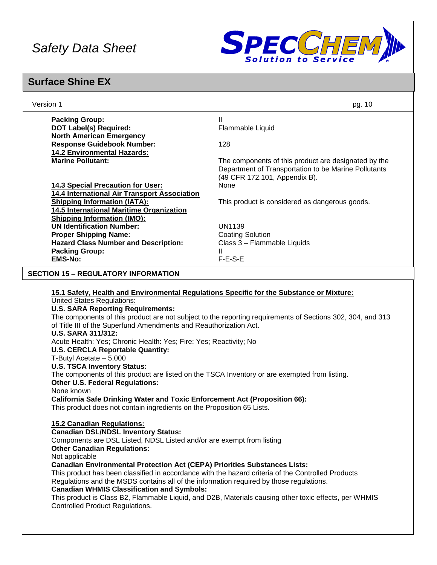

### **Surface Shine EX**

| Version 1                                                                                                                                                                                                                                                                                                                                                                                                                                                                                                                                                                                                                                                                                                                                                                             | pg. 10                                                                                                       |
|---------------------------------------------------------------------------------------------------------------------------------------------------------------------------------------------------------------------------------------------------------------------------------------------------------------------------------------------------------------------------------------------------------------------------------------------------------------------------------------------------------------------------------------------------------------------------------------------------------------------------------------------------------------------------------------------------------------------------------------------------------------------------------------|--------------------------------------------------------------------------------------------------------------|
| <b>Packing Group:</b><br><b>DOT Label(s) Required:</b>                                                                                                                                                                                                                                                                                                                                                                                                                                                                                                                                                                                                                                                                                                                                | Ш<br>Flammable Liquid                                                                                        |
| <b>North American Emergency</b><br><b>Response Guidebook Number:</b><br><b>14.2 Environmental Hazards:</b>                                                                                                                                                                                                                                                                                                                                                                                                                                                                                                                                                                                                                                                                            | 128                                                                                                          |
| <b>Marine Pollutant:</b>                                                                                                                                                                                                                                                                                                                                                                                                                                                                                                                                                                                                                                                                                                                                                              | The components of this product are designated by the<br>Department of Transportation to be Marine Pollutants |
| <b>14.3 Special Precaution for User:</b><br>14.4 International Air Transport Association                                                                                                                                                                                                                                                                                                                                                                                                                                                                                                                                                                                                                                                                                              | (49 CFR 172.101, Appendix B).<br>None                                                                        |
| <b>Shipping Information (IATA):</b><br>14.5 International Maritime Organization<br><b>Shipping Information (IMO):</b>                                                                                                                                                                                                                                                                                                                                                                                                                                                                                                                                                                                                                                                                 | This product is considered as dangerous goods.                                                               |
| <b>UN Identification Number:</b><br><b>Proper Shipping Name:</b><br><b>Hazard Class Number and Description:</b><br><b>Packing Group:</b><br><b>EMS-No:</b>                                                                                                                                                                                                                                                                                                                                                                                                                                                                                                                                                                                                                            | <b>UN1139</b><br><b>Coating Solution</b><br>Class 3 - Flammable Liquids<br>$\mathbf{II}$<br>$F-E-S-E$        |
|                                                                                                                                                                                                                                                                                                                                                                                                                                                                                                                                                                                                                                                                                                                                                                                       |                                                                                                              |
| <b>SECTION 15 - REGULATORY INFORMATION</b>                                                                                                                                                                                                                                                                                                                                                                                                                                                                                                                                                                                                                                                                                                                                            |                                                                                                              |
| 15.1 Safety, Health and Environmental Regulations Specific for the Substance or Mixture:<br><b>United States Regulations:</b><br><b>U.S. SARA Reporting Requirements:</b><br>of Title III of the Superfund Amendments and Reauthorization Act.<br><b>U.S. SARA 311/312:</b><br>Acute Health: Yes; Chronic Health: Yes; Fire: Yes; Reactivity; No<br><b>U.S. CERCLA Reportable Quantity:</b><br>T-Butyl Acetate $-5,000$<br><b>U.S. TSCA Inventory Status:</b><br>The components of this product are listed on the TSCA Inventory or are exempted from listing.<br><b>Other U.S. Federal Regulations:</b><br>None known<br><b>California Safe Drinking Water and Toxic Enforcement Act (Proposition 66):</b><br>This product does not contain ingredients on the Proposition 65 Lists. | The components of this product are not subject to the reporting requirements of Sections 302, 304, and 313   |
| <b>15.2 Canadian Regulations:</b><br><b>Canadian DSL/NDSL Inventory Status:</b><br>Components are DSL Listed, NDSL Listed and/or are exempt from listing<br><b>Other Canadian Regulations:</b><br>Not applicable<br><b>Canadian Environmental Protection Act (CEPA) Priorities Substances Lists:</b><br>This product has been classified in accordance with the hazard criteria of the Controlled Products<br>Regulations and the MSDS contains all of the information required by those regulations.<br><b>Canadian WHMIS Classification and Symbols:</b><br><b>Controlled Product Regulations.</b>                                                                                                                                                                                  | This product is Class B2, Flammable Liquid, and D2B, Materials causing other toxic effects, per WHMIS        |
|                                                                                                                                                                                                                                                                                                                                                                                                                                                                                                                                                                                                                                                                                                                                                                                       |                                                                                                              |